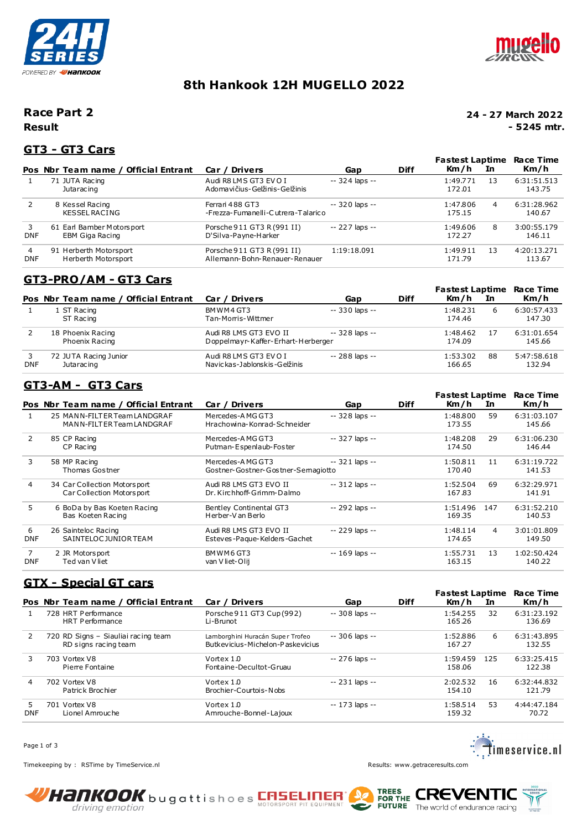



# **8th Hankook 12H MUGELLO 2022**

### **Result Race Part 2**

#### **24 - 27 March 2022 - 5245 mtr.**

### **GT3 - GT3 Cars**

|                 | Pos Nbr Team name / Official Entrant          | Car / Drivers                                               | Gap             | <b>Diff</b> | Fastest Laptime<br>Km/h | In | Race Time<br>Km/h     |
|-----------------|-----------------------------------------------|-------------------------------------------------------------|-----------------|-------------|-------------------------|----|-----------------------|
|                 | 71 JUTA Racing<br>Jutaracing                  | Audi R8 LMS GT3 EVO I<br>Adomavičius-Gelžinis-Gelžinis      | $-324$ laps $-$ |             | 1:49.771<br>172.01      | 13 | 6:31:51.513<br>143.75 |
| 2               | 8 Kessel Racing<br><b>KESSEL RACING</b>       | Ferrari 488 GT3<br>-Frezza-Fumanelli-Cutrera-Talarico       | $-320$ laps $-$ |             | 1:47.806<br>175.15      | 4  | 6:31:28.962<br>140.67 |
| 3<br><b>DNF</b> | 61 Earl Bamber Motorsport<br>EBM Giga Racing  | Porsche 911 GT3 R (991 II)<br>D'Silva-Payne-Harker          | -- 227 laps --  |             | 1:49.606<br>172.27      | 8  | 3:00:55.179<br>146.11 |
| 4<br><b>DNF</b> | 91 Herberth Motorsport<br>Herberth Motorsport | Porsche 911 GT3 R (991 II)<br>Allemann-Bohn-Renauer-Renauer | 1:19:18.091     |             | 1:49.911<br>171.79      | 13 | 4:20:13.271<br>113.67 |

### **GT3-PRO/AM - GT3 Cars**

|            |                                            |                                                       |                 |             | Fastest Laptime<br>Km/h |    | Race Time             |
|------------|--------------------------------------------|-------------------------------------------------------|-----------------|-------------|-------------------------|----|-----------------------|
|            | Pos Nbr Team name / Official Entrant       | Car / Drivers                                         | Gap             | <b>Diff</b> |                         | In | Km/h                  |
|            | 1 ST Racing                                | BMWM4GT3                                              | -- 330 laps --  |             | 1:48.231                | 6  | 6:30:57.433           |
|            | ST Racing                                  | Tan-Morris-Wittmer                                    |                 |             | 174.46                  |    | 147.30                |
|            | 18 Phoenix Racing                          | Audi R8 LMS GT3 EVO II                                | $-328$ laps $-$ |             | 1:48.462                |    | 6:31:01.654           |
|            | Phoenix Racing                             | Doppelmayr-Kaffer-Erhart-Herberger                    |                 |             | 174.09                  |    | 145.66                |
| <b>DNF</b> | 72 JUTA Racing Junior<br><b>Jutaracing</b> | Audi R8 LMS GT3 EVO I<br>Navickas-Jablonskis-Gelžinis | $-288$ laps $-$ |             | 1:53.302<br>166.65      | 88 | 5:47:58.618<br>132.94 |

### **GT3-AM - GT3 Cars**

|                 |                                                             |                                                        |                 |             | <b>Fastest Laptime</b> |                | Race Time             |
|-----------------|-------------------------------------------------------------|--------------------------------------------------------|-----------------|-------------|------------------------|----------------|-----------------------|
|                 | Pos Nbr Team name / Official Entrant                        | Car / Drivers                                          | Gap             | <b>Diff</b> | Km/h                   | In             | Km/h                  |
|                 | 25 MANN-FILT ER Team LANDGRAF<br>MANN-FILTER Team LANDGRAF  | Mercedes-AMG GT3<br>Hrachowina-Konrad-Schneider        | -- 328 laps --  |             | 1:48.800<br>173.55     | 59             | 6:31:03.107<br>145.66 |
| $\mathcal{P}$   | 85 CP Racing<br>CP Racing                                   | Mercedes-AMG GT3<br>Putman-Espenlaub-Foster            | $-327$ laps $-$ |             | 1:48.208<br>174.50     | 29             | 6:31:06.230<br>146.44 |
| 3               | 58 MP Racing<br>Thomas Gostner                              | Mercedes-AMG GT3<br>Gostner-Gostner-Gostner-Semagiotto | $-321$ laps $-$ |             | 1:50.811<br>170.40     | 11             | 6:31:19.722<br>141.53 |
| 4               | 34 Car Collection Motors port<br>Car Collection Motors port | Audi R8 LMS GT3 EVO II<br>Dr. Kirchhoff-Grimm-Dalmo    | $-312$ laps $-$ |             | 1:52.504<br>167.83     | 69             | 6:32:29.971<br>141.91 |
| 5.              | 6 BoDa by Bas Koeten Racing<br>Bas Koeten Racing            | Bentley Continental GT3<br>Herber-V an Berlo           | $-292$ laps $-$ |             | 1:51.496<br>169.35     | 147            | 6:31:52.210<br>140.53 |
| 6<br><b>DNF</b> | 26 Sainteloc Racing<br>SAINTELOC JUNIOR TEAM                | Audi R8 LMS GT3 EVO II<br>Esteves-Paque-Kelders-Gachet | $-229$ laps $-$ |             | 1:48.114<br>174.65     | $\overline{a}$ | 3:01:01.809<br>149.50 |
| 7<br><b>DNF</b> | 2 JR Motorsport<br>Ted van V liet                           | BMWM6GT3<br>van V liet-Olij                            | $-169$ laps $-$ |             | 1:55.731<br>163.15     | 13             | 1:02:50.424<br>140.22 |

### **GTX - Special GT cars**

|                 | Pos Nbr Team name / Official Entrant                        | Car / Drivers                                                        | Gap             | <b>Diff</b> | <b>Fastest Laptime</b><br>Km/h<br>In |    | Race Time<br>Km/h     |
|-----------------|-------------------------------------------------------------|----------------------------------------------------------------------|-----------------|-------------|--------------------------------------|----|-----------------------|
|                 | 728 HRT Performance<br>HRT Performance                      | Porsche 911 GT3 Cup (992)<br>Li-Brunot                               | $-308$ laps $-$ |             | 1:54.255<br>165.26                   | 32 | 6:31:23.192<br>136.69 |
|                 | 720 RD Signs - Siauliai racing team<br>RD signs racing team | Lamborghini Huracán Super Trofeo<br>Butkevicius-Michelon-Paskevicius | $-306$ laps $-$ |             | 1:52.886<br>167.27                   | 6  | 6:31:43.895<br>132.55 |
| 3               | 703 Vortex V8<br>Pierre Fontaine                            | Vortex 1.0<br>Fontaine-Decultot-Gruau                                | -- 276 laps --  |             | 1:59.459<br>125<br>158.06            |    | 6:33:25.415<br>122.38 |
| 4               | 702 Vortex V8<br>Patrick Brochier                           | Vortex 1.0<br>Brochier-Courtois-Nobs                                 | $-231$ laps $-$ |             | 2:02.532<br>154.10                   | 16 | 6:32:44.832<br>121.79 |
| 5<br><b>DNF</b> | 701 Vortex V8<br>Lionel Amrouche                            | Vortex 1.0<br>Amrouche-Bonnel-Lajoux                                 | $-173$ laps $-$ |             | 1:58.514<br>159.32                   | 53 | 4:44:47.184<br>70.72  |

Page 1 of 3



Timekeeping by : RSTime by TimeService.nl **Results:<www.getraceresults.com>** Results: www.getraceresults.com



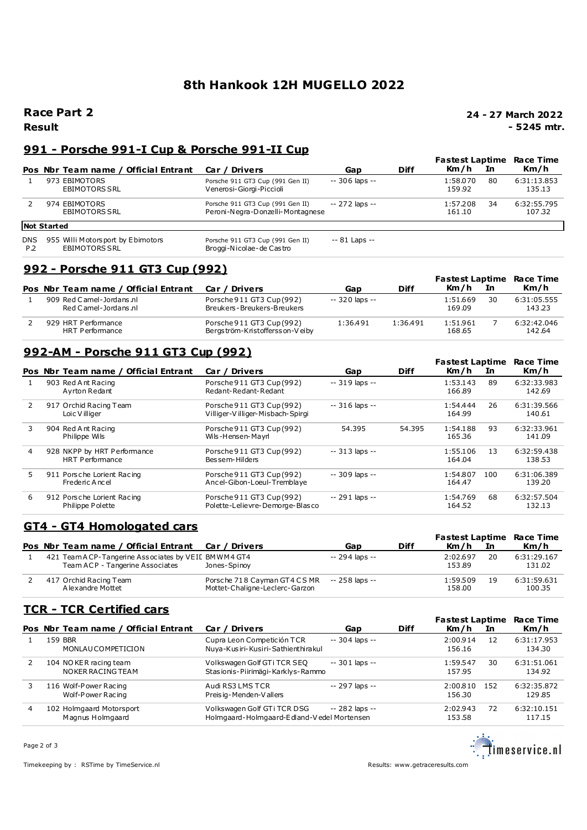# **8th Hankook 12H MUGELLO 2022**

### **Race Part 2**

**Result**

**24 - 27 March 2022 - 5245 mtr.**

### **991 - Porsche 991-I Cup & Porsche 991-II Cup**

|                   |                                                           |                                                                      |                 |             | <b>Fastest Laptime</b>   | Race Time             |
|-------------------|-----------------------------------------------------------|----------------------------------------------------------------------|-----------------|-------------|--------------------------|-----------------------|
|                   | Pos Nbr Team name / Official Entrant                      | Car / Drivers                                                        | Gap             | <b>Diff</b> | Km/h<br>In               | Km/h                  |
|                   | 973 EBIMOTORS<br><b>EBIMOTORS SRL</b>                     | Porsche 911 GT3 Cup (991 Gen II)<br>Venerosi-Giorgi-Piccioli         | $-306$ laps $-$ |             | 1:58.070<br>80<br>159.92 | 6:31:13.853<br>135.13 |
|                   | 974 EBIMOTORS<br><b>EBIMOTORS SRL</b>                     | Porsche 911 GT3 Cup (991 Gen II)<br>Peroni-Negra-Donzelli-Montagnese | $-272$ laps $-$ |             | 1:57.208<br>34<br>161.10 | 6:32:55.795<br>107.32 |
|                   | <b>Not Started</b>                                        |                                                                      |                 |             |                          |                       |
| <b>DNS</b><br>P.2 | 955 Willi Motorsport by Ebimotors<br><b>EBIMOTORS SRL</b> | Porsche 911 GT3 Cup (991 Gen II)<br>Broggi-Nicolae-de Castro         | $-81$ Laps $-$  |             |                          |                       |

## **992 - Porsche 911 GT3 Cup (992)**

|                                                  |                                                             |                |             |                    |    | <b>Fastest Laptime Race Time</b> |
|--------------------------------------------------|-------------------------------------------------------------|----------------|-------------|--------------------|----|----------------------------------|
| Pos Nbr Team name / Official Entrant             | Car / Drivers                                               | Gap            | <b>Diff</b> | Km/h               | In | Km/h                             |
| 909 Red Camel-Jordans nl<br>Red Camel-Jordans.nl | Porsche 911 GT3 Cup (992)<br>Breukers-Breukers-Breukers     | -- 320 laps -- |             | 1:51.669<br>169.09 | 30 | 6:31:05.555<br>143.23            |
| 929 HRT Performance<br>HRT Performance           | Porsche 911 GT3 Cup (992)<br>Bergström-Kristoffersson-Veiby | 1:36.491       | 1:36.491    | 1:51.961<br>168.65 |    | 6:32:42.046<br>142.64            |

## **992-AM - Porsche 911 GT3 Cup (992)**

|               |                    |                                                |                                                               |                 |             | <b>Fastest Laptime</b> |     | Race Time             |
|---------------|--------------------|------------------------------------------------|---------------------------------------------------------------|-----------------|-------------|------------------------|-----|-----------------------|
|               |                    | Pos Nbr Team name / Official Entrant           | Car / Drivers                                                 | Gap             | <b>Diff</b> | Km/h                   | In. | Km/h                  |
|               | 903 Red Ant Racing | Avrton Redant                                  | Porsche 911 GT3 Cup (992)<br>Redant-Redant-Redant             | $-319$ laps $-$ |             | 1:53.143<br>166.89     | 89  | 6:32:33.983<br>142.69 |
| $\mathcal{P}$ |                    | 917 Orchid Racing Team<br>Loic Villiger        | Porsche 911 GT3 Cup (992)<br>Villiger-Villiger-Misbach-Spirgi | $-316$ laps $-$ |             | 1:54.444<br>164.99     | 26  | 6:31:39.566<br>140.61 |
| 3             | 904 Red Ant Racing | Philippe Wils                                  | Porsche 911 GT3 Cup (992)<br>Wils-Hensen-Mayrl                | 54.395          | 54.395      | 1:54.188<br>165.36     | 93  | 6:32:33.961<br>141.09 |
| 4             |                    | 928 NKPP by HRT Performance<br>HRT Performance | Porsche 911 GT3 Cup (992)<br>Bessem-Hilders                   | $-313$ laps $-$ |             | 1:55.106<br>164.04     | 13  | 6:32:59.438<br>138.53 |
| 5.            |                    | 911 Porsche Lorient Racing<br>Frederic Ancel   | Porsche 911 GT3 Cup (992)<br>Ancel-Gibon-Loeul-Tremblaye      | $-309$ laps $-$ |             | 1:54.807<br>164.47     | 100 | 6:31:06.389<br>139.20 |
| 6             |                    | 912 Porsche Lorient Racing<br>Philippe Polette | Porsche 911 GT3 Cup (992)<br>Polette-Lelievre-Demorge-Blasco  | -- 291 laps --  |             | 1:54.769<br>164.52     | 68  | 6:32:57.504<br>132.13 |

## **GT4 - GT4 Homologated cars**

|                                                                                         |                                                                |                 |             | <b>Fastest Laptime Race Time</b> |                       |
|-----------------------------------------------------------------------------------------|----------------------------------------------------------------|-----------------|-------------|----------------------------------|-----------------------|
| Pos Nbr Team name / Official Entrant Car / Drivers                                      |                                                                | Gap             | <b>Diff</b> | Km/h<br>In In                    | Km/h                  |
| 421 Team A CP-Tangerine Associates by VEIL BMWM4 GT4<br>Team ACP - Tangerine Associates | Jones-Spinov                                                   | $-294$ laps $-$ |             | 2:02.697<br>20<br>153.89         | 6:31:29.167<br>131.02 |
| 417 Orchid Racing Team<br>A lexandre Mottet                                             | Porsche 718 Cayman GT4 CS MR<br>Mottet-Chaligne-Leclerc-Garzon | -- 258 laps --  |             | 1:59.509<br>19<br>158.00         | 6:31:59.631<br>100.35 |

### **TCR - TCR Certified cars**

|   | Pos Nbr Team name / Official Entrant         | Car / Drivers                                                             | Gap             | <b>Diff</b> | <b>Fastest Laptime</b><br>Km/h | In  | <b>Race Time</b><br>Km/h |
|---|----------------------------------------------|---------------------------------------------------------------------------|-----------------|-------------|--------------------------------|-----|--------------------------|
|   | 159 BBR<br>MONLAUCOMPETICION                 | Cupra Leon Competición TCR<br>Nuya-Kusiri-Kusiri-Sathienthirakul          | $-304$ laps $-$ |             | 2:00.914<br>156.16             | 12  | 6:31:17.953<br>134.30    |
|   | 104 NO KER racing team<br>NOKER RACING TEAM  | Volkswagen Golf GT i TCR SEQ<br>Stasionis-Piirimägi-Karklys-Rammo         | $-301$ laps $-$ |             | 1:59.547<br>157.95             | 30  | 6:31:51.061<br>134.92    |
|   | 116 Wolf-Power Racing<br>Wolf-Power Racing   | Audi RS3 LMS TCR<br>Preisig-Menden-Vallers                                | -- 297 laps --  |             | 2:00.810<br>156.30             | 152 | 6:32:35.872<br>129.85    |
| 4 | 102 Holmgaard Motorsport<br>Magnus Holmgaard | Volkswagen Golf GTi TCR DSG<br>Holmgaard-Holmgaard-Edland-Vedel Mortensen | -- 282 laps --  |             | 2:02.943<br>153.58             | 72  | 6:32:10.151<br>117.15    |

<u>estar</u><br>Compare in the service .nl

Timekeeping by : RSTime by TimeService.nl Results:<www.getraceresults.com>

Page 2 of 3